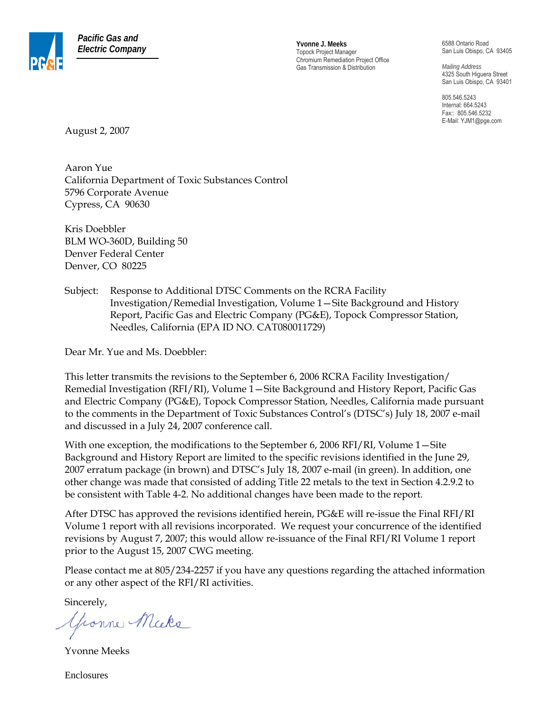

*Electric Company* **Yvonne J. Meeks** Topock Project Manager Chromium Remediation Project Office Gas Transmission & Distribution

6588 Ontario Road San Luis Obispo, CA 93405

*Mailing Address*  4325 South Higuera Street San Luis Obispo, CA 93401

805.546.5243 Internal: 664.5243 Fax:: 805.546.5232 E-Mail: YJM1@pge.com

August 2, 2007

Aaron Yue California Department of Toxic Substances Control 5796 Corporate Avenue Cypress, CA 90630

Kris Doebbler BLM WO-360D, Building 50 Denver Federal Center Denver, CO 80225

Subject: Response to Additional DTSC Comments on the RCRA Facility Investigation/Remedial Investigation, Volume 1—Site Background and History Report, Pacific Gas and Electric Company (PG&E), Topock Compressor Station, Needles, California (EPA ID NO. CAT080011729)

Dear Mr. Yue and Ms. Doebbler:

This letter transmits the revisions to the September 6, 2006 RCRA Facility Investigation/ Remedial Investigation (RFI/RI), Volume 1—Site Background and History Report, Pacific Gas and Electric Company (PG&E), Topock Compressor Station, Needles, California made pursuant to the comments in the Department of Toxic Substances Control's (DTSC's) July 18, 2007 e-mail and discussed in a July 24, 2007 conference call.

With one exception, the modifications to the September 6, 2006 RFI/RI, Volume 1—Site Background and History Report are limited to the specific revisions identified in the June 29, 2007 erratum package (in brown) and DTSC's July 18, 2007 e-mail (in green). In addition, one other change was made that consisted of adding Title 22 metals to the text in Section 4.2.9.2 to be consistent with Table 4-2. No additional changes have been made to the report.

After DTSC has approved the revisions identified herein, PG&E will re-issue the Final RFI/RI Volume 1 report with all revisions incorporated. We request your concurrence of the identified revisions by August 7, 2007; this would allow re-issuance of the Final RFI/RI Volume 1 report prior to the August 15, 2007 CWG meeting.

Please contact me at 805/234-2257 if you have any questions regarding the attached information or any other aspect of the RFI/RI activities.

Sincerely,

youne Micke

Yvonne Meeks

Enclosures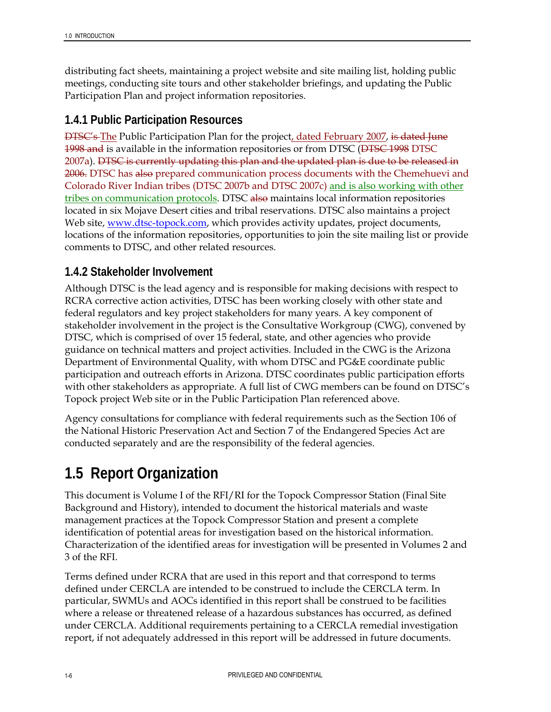distributing fact sheets, maintaining a project website and site mailing list, holding public meetings, conducting site tours and other stakeholder briefings, and updating the Public Participation Plan and project information repositories.

### **1.4.1 Public Participation Resources**

**DTSC's The Public Participation Plan for the project<u>, dated February 2007</u>, is dated June** 1998 and is available in the information repositories or from DTSC (DTSC 1998 DTSC 2007a). DTSC is currently updating this plan and the updated plan is due to be released in 2006. DTSC has also prepared communication process documents with the Chemehuevi and Colorado River Indian tribes (DTSC 2007b and DTSC 2007c) and is also working with other tribes on communication protocols. DTSC also maintains local information repositories located in six Mojave Desert cities and tribal reservations. DTSC also maintains a project Web site, www.dtsc-topock.com, which provides activity updates, project documents, locations of the information repositories, opportunities to join the site mailing list or provide comments to DTSC, and other related resources.

### **1.4.2 Stakeholder Involvement**

Although DTSC is the lead agency and is responsible for making decisions with respect to RCRA corrective action activities, DTSC has been working closely with other state and federal regulators and key project stakeholders for many years. A key component of stakeholder involvement in the project is the Consultative Workgroup (CWG), convened by DTSC, which is comprised of over 15 federal, state, and other agencies who provide guidance on technical matters and project activities. Included in the CWG is the Arizona Department of Environmental Quality, with whom DTSC and PG&E coordinate public participation and outreach efforts in Arizona. DTSC coordinates public participation efforts with other stakeholders as appropriate. A full list of CWG members can be found on DTSC's Topock project Web site or in the Public Participation Plan referenced above.

Agency consultations for compliance with federal requirements such as the Section 106 of the National Historic Preservation Act and Section 7 of the Endangered Species Act are conducted separately and are the responsibility of the federal agencies.

# **1.5 Report Organization**

This document is Volume I of the RFI/RI for the Topock Compressor Station (Final Site Background and History), intended to document the historical materials and waste management practices at the Topock Compressor Station and present a complete identification of potential areas for investigation based on the historical information. Characterization of the identified areas for investigation will be presented in Volumes 2 and 3 of the RFI.

Terms defined under RCRA that are used in this report and that correspond to terms defined under CERCLA are intended to be construed to include the CERCLA term. In particular, SWMUs and AOCs identified in this report shall be construed to be facilities where a release or threatened release of a hazardous substances has occurred, as defined under CERCLA. Additional requirements pertaining to a CERCLA remedial investigation report, if not adequately addressed in this report will be addressed in future documents.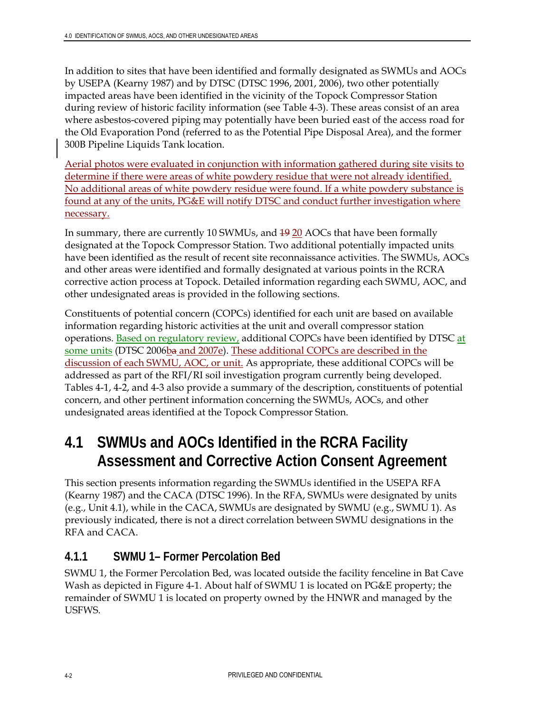In addition to sites that have been identified and formally designated as SWMUs and AOCs by USEPA (Kearny 1987) and by DTSC (DTSC 1996, 2001, 2006), two other potentially impacted areas have been identified in the vicinity of the Topock Compressor Station during review of historic facility information (see Table 4-3). These areas consist of an area where asbestos-covered piping may potentially have been buried east of the access road for the Old Evaporation Pond (referred to as the Potential Pipe Disposal Area), and the former 300B Pipeline Liquids Tank location.

Aerial photos were evaluated in conjunction with information gathered during site visits to determine if there were areas of white powdery residue that were not already identified. No additional areas of white powdery residue were found. If a white powdery substance is found at any of the units, PG&E will notify DTSC and conduct further investigation where necessary.

In summary, there are currently 10 SWMUs, and 19 20 AOCs that have been formally designated at the Topock Compressor Station. Two additional potentially impacted units have been identified as the result of recent site reconnaissance activities. The SWMUs, AOCs and other areas were identified and formally designated at various points in the RCRA corrective action process at Topock. Detailed information regarding each SWMU, AOC, and other undesignated areas is provided in the following sections.

Constituents of potential concern (COPCs) identified for each unit are based on available information regarding historic activities at the unit and overall compressor station operations. Based on regulatory review, additional COPCs have been identified by DTSC at some units (DTSC 2006ba and 2007e). These additional COPCs are described in the discussion of each SWMU, AOC, or unit. As appropriate, these additional COPCs will be addressed as part of the RFI/RI soil investigation program currently being developed. Tables 4-1, 4-2, and 4-3 also provide a summary of the description, constituents of potential concern, and other pertinent information concerning the SWMUs, AOCs, and other undesignated areas identified at the Topock Compressor Station.

# **4.1 SWMUs and AOCs Identified in the RCRA Facility Assessment and Corrective Action Consent Agreement**

This section presents information regarding the SWMUs identified in the USEPA RFA (Kearny 1987) and the CACA (DTSC 1996). In the RFA, SWMUs were designated by units (e.g., Unit 4.1), while in the CACA, SWMUs are designated by SWMU (e.g., SWMU 1). As previously indicated, there is not a direct correlation between SWMU designations in the RFA and CACA.

### **4.1.1 SWMU 1– Former Percolation Bed**

SWMU 1, the Former Percolation Bed, was located outside the facility fenceline in Bat Cave Wash as depicted in Figure 4-1. About half of SWMU 1 is located on PG&E property; the remainder of SWMU 1 is located on property owned by the HNWR and managed by the USFWS.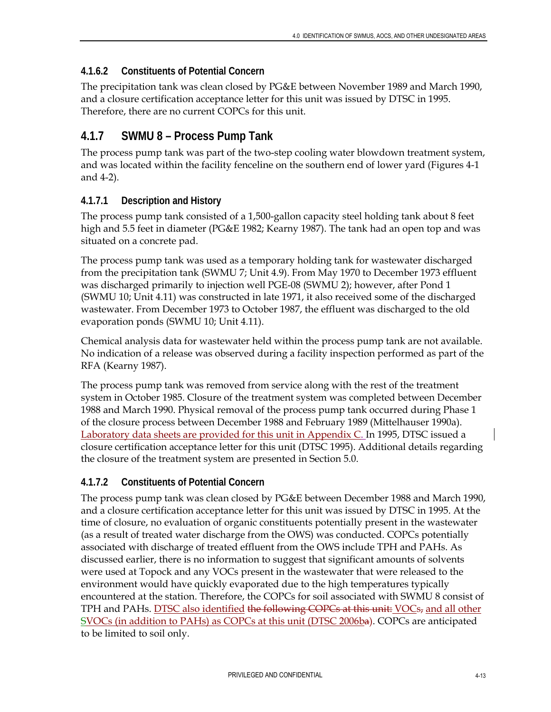#### **4.1.6.2 Constituents of Potential Concern**

The precipitation tank was clean closed by PG&E between November 1989 and March 1990, and a closure certification acceptance letter for this unit was issued by DTSC in 1995. Therefore, there are no current COPCs for this unit.

### **4.1.7 SWMU 8 – Process Pump Tank**

The process pump tank was part of the two-step cooling water blowdown treatment system, and was located within the facility fenceline on the southern end of lower yard (Figures 4-1 and 4-2).

#### **4.1.7.1 Description and History**

The process pump tank consisted of a 1,500-gallon capacity steel holding tank about 8 feet high and 5.5 feet in diameter (PG&E 1982; Kearny 1987). The tank had an open top and was situated on a concrete pad.

The process pump tank was used as a temporary holding tank for wastewater discharged from the precipitation tank (SWMU 7; Unit 4.9). From May 1970 to December 1973 effluent was discharged primarily to injection well PGE-08 (SWMU 2); however, after Pond 1 (SWMU 10; Unit 4.11) was constructed in late 1971, it also received some of the discharged wastewater. From December 1973 to October 1987, the effluent was discharged to the old evaporation ponds (SWMU 10; Unit 4.11).

Chemical analysis data for wastewater held within the process pump tank are not available. No indication of a release was observed during a facility inspection performed as part of the RFA (Kearny 1987).

The process pump tank was removed from service along with the rest of the treatment system in October 1985. Closure of the treatment system was completed between December 1988 and March 1990. Physical removal of the process pump tank occurred during Phase 1 of the closure process between December 1988 and February 1989 (Mittelhauser 1990a). Laboratory data sheets are provided for this unit in Appendix C. In 1995, DTSC issued a closure certification acceptance letter for this unit (DTSC 1995). Additional details regarding the closure of the treatment system are presented in Section 5.0.

### **4.1.7.2 Constituents of Potential Concern**

The process pump tank was clean closed by PG&E between December 1988 and March 1990, and a closure certification acceptance letter for this unit was issued by DTSC in 1995. At the time of closure, no evaluation of organic constituents potentially present in the wastewater (as a result of treated water discharge from the OWS) was conducted. COPCs potentially associated with discharge of treated effluent from the OWS include TPH and PAHs. As discussed earlier, there is no information to suggest that significant amounts of solvents were used at Topock and any VOCs present in the wastewater that were released to the environment would have quickly evaporated due to the high temperatures typically encountered at the station. Therefore, the COPCs for soil associated with SWMU 8 consist of TPH and PAHs. DTSC also identified the following COPCs at this unit: VOCs, and all other SVOCs (in addition to PAHs) as COPCs at this unit (DTSC 2006ba). COPCs are anticipated to be limited to soil only.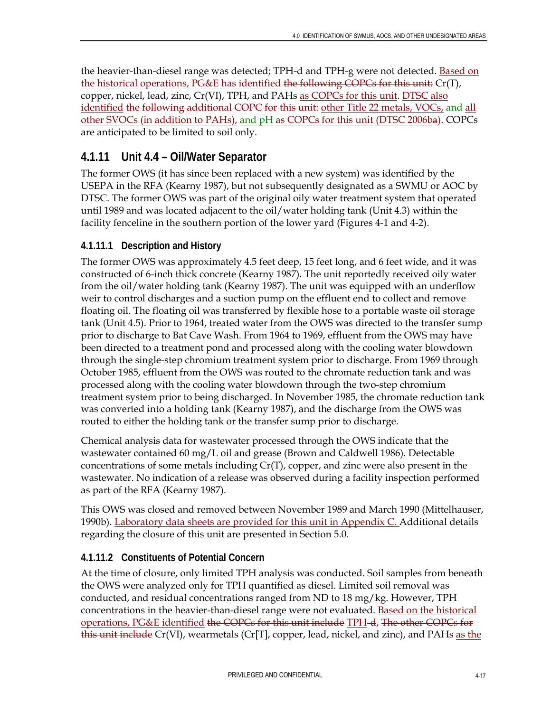the heavier-than-diesel range was detected; TPH-d and TPH-g were not detected. Based on the historical operations, PG&E has identified the following COPCs for this unit: Cr(T), copper, nickel, lead, zinc, Cr(VI), TPH, and PAHs as COPCs for this unit. DTSC also identified the following additional COPC for this unit: other Title 22 metals, VOCs, and all other SVOCs (in addition to PAHs), and pH as COPCs for this unit (DTSC 2006ba). COPCs are anticipated to be limited to soil only.

## **4.1.11 Unit 4.4 – Oil/Water Separator**

The former OWS (it has since been replaced with a new system) was identified by the USEPA in the RFA (Kearny 1987), but not subsequently designated as a SWMU or AOC by DTSC. The former OWS was part of the original oily water treatment system that operated until 1989 and was located adjacent to the oil/water holding tank (Unit 4.3) within the facility fenceline in the southern portion of the lower yard (Figures 4-1 and 4-2).

### **4.1.11.1 Description and History**

The former OWS was approximately 4.5 feet deep, 15 feet long, and 6 feet wide, and it was constructed of 6-inch thick concrete (Kearny 1987). The unit reportedly received oily water from the oil/water holding tank (Kearny 1987). The unit was equipped with an underflow weir to control discharges and a suction pump on the effluent end to collect and remove floating oil. The floating oil was transferred by flexible hose to a portable waste oil storage tank (Unit 4.5). Prior to 1964, treated water from the OWS was directed to the transfer sump prior to discharge to Bat Cave Wash. From 1964 to 1969, effluent from the OWS may have been directed to a treatment pond and processed along with the cooling water blowdown through the single-step chromium treatment system prior to discharge. From 1969 through October 1985, effluent from the OWS was routed to the chromate reduction tank and was processed along with the cooling water blowdown through the two-step chromium treatment system prior to being discharged. In November 1985, the chromate reduction tank was converted into a holding tank (Kearny 1987), and the discharge from the OWS was routed to either the holding tank or the transfer sump prior to discharge.

Chemical analysis data for wastewater processed through the OWS indicate that the wastewater contained 60 mg/L oil and grease (Brown and Caldwell 1986). Detectable concentrations of some metals including Cr(T), copper, and zinc were also present in the wastewater. No indication of a release was observed during a facility inspection performed as part of the RFA (Kearny 1987).

This OWS was closed and removed between November 1989 and March 1990 (Mittelhauser, 1990b). Laboratory data sheets are provided for this unit in Appendix C. Additional details regarding the closure of this unit are presented in Section 5.0.

### **4.1.11.2 Constituents of Potential Concern**

At the time of closure, only limited TPH analysis was conducted. Soil samples from beneath the OWS were analyzed only for TPH quantified as diesel. Limited soil removal was conducted, and residual concentrations ranged from ND to 18 mg/kg. However, TPH concentrations in the heavier-than-diesel range were not evaluated. Based on the historical operations, PG&E identified the COPCs for this unit include TPH-d, The other COPCs for this unit include Cr(VI), wearmetals (Cr[T], copper, lead, nickel, and zinc), and PAHs as the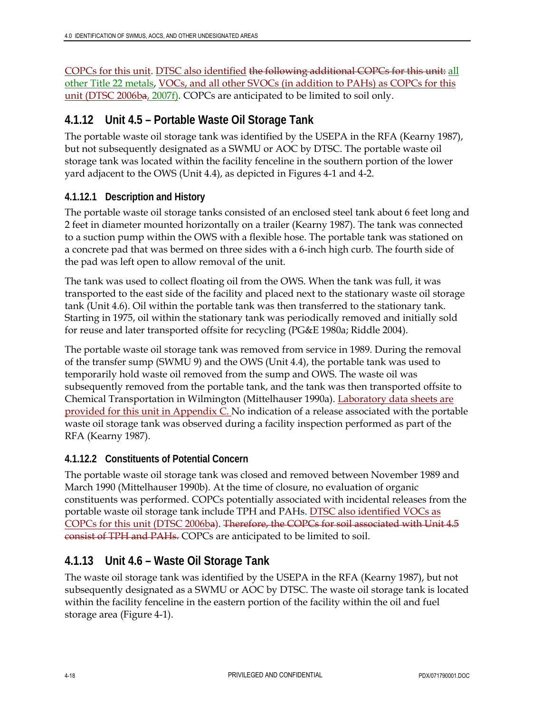COPCs for this unit. DTSC also identified the following additional COPCs for this unit: all other Title 22 metals, VOCs, and all other SVOCs (in addition to PAHs) as COPCs for this unit (DTSC 2006ba, 2007f). COPCs are anticipated to be limited to soil only.

### **4.1.12 Unit 4.5 – Portable Waste Oil Storage Tank**

The portable waste oil storage tank was identified by the USEPA in the RFA (Kearny 1987), but not subsequently designated as a SWMU or AOC by DTSC. The portable waste oil storage tank was located within the facility fenceline in the southern portion of the lower yard adjacent to the OWS (Unit 4.4), as depicted in Figures 4-1 and 4-2.

#### **4.1.12.1 Description and History**

The portable waste oil storage tanks consisted of an enclosed steel tank about 6 feet long and 2 feet in diameter mounted horizontally on a trailer (Kearny 1987). The tank was connected to a suction pump within the OWS with a flexible hose. The portable tank was stationed on a concrete pad that was bermed on three sides with a 6-inch high curb. The fourth side of the pad was left open to allow removal of the unit.

The tank was used to collect floating oil from the OWS. When the tank was full, it was transported to the east side of the facility and placed next to the stationary waste oil storage tank (Unit 4.6). Oil within the portable tank was then transferred to the stationary tank. Starting in 1975, oil within the stationary tank was periodically removed and initially sold for reuse and later transported offsite for recycling (PG&E 1980a; Riddle 2004).

The portable waste oil storage tank was removed from service in 1989. During the removal of the transfer sump (SWMU 9) and the OWS (Unit 4.4), the portable tank was used to temporarily hold waste oil removed from the sump and OWS. The waste oil was subsequently removed from the portable tank, and the tank was then transported offsite to Chemical Transportation in Wilmington (Mittelhauser 1990a). Laboratory data sheets are provided for this unit in Appendix C. No indication of a release associated with the portable waste oil storage tank was observed during a facility inspection performed as part of the RFA (Kearny 1987).

#### **4.1.12.2 Constituents of Potential Concern**

The portable waste oil storage tank was closed and removed between November 1989 and March 1990 (Mittelhauser 1990b). At the time of closure, no evaluation of organic constituents was performed. COPCs potentially associated with incidental releases from the portable waste oil storage tank include TPH and PAHs. DTSC also identified VOCs as COPCs for this unit (DTSC 2006ba). Therefore, the COPCs for soil associated with Unit 4.5 consist of TPH and PAHs. COPCs are anticipated to be limited to soil.

### **4.1.13 Unit 4.6 – Waste Oil Storage Tank**

The waste oil storage tank was identified by the USEPA in the RFA (Kearny 1987), but not subsequently designated as a SWMU or AOC by DTSC. The waste oil storage tank is located within the facility fenceline in the eastern portion of the facility within the oil and fuel storage area (Figure 4-1).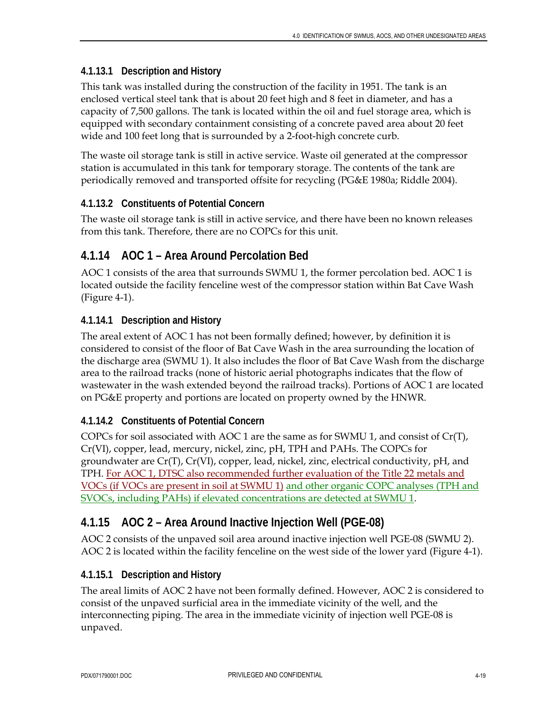#### **4.1.13.1 Description and History**

This tank was installed during the construction of the facility in 1951. The tank is an enclosed vertical steel tank that is about 20 feet high and 8 feet in diameter, and has a capacity of 7,500 gallons. The tank is located within the oil and fuel storage area, which is equipped with secondary containment consisting of a concrete paved area about 20 feet wide and 100 feet long that is surrounded by a 2-foot-high concrete curb.

The waste oil storage tank is still in active service. Waste oil generated at the compressor station is accumulated in this tank for temporary storage. The contents of the tank are periodically removed and transported offsite for recycling (PG&E 1980a; Riddle 2004).

#### **4.1.13.2 Constituents of Potential Concern**

The waste oil storage tank is still in active service, and there have been no known releases from this tank. Therefore, there are no COPCs for this unit.

### **4.1.14 AOC 1 – Area Around Percolation Bed**

AOC 1 consists of the area that surrounds SWMU 1, the former percolation bed. AOC 1 is located outside the facility fenceline west of the compressor station within Bat Cave Wash (Figure 4-1).

#### **4.1.14.1 Description and History**

The areal extent of AOC 1 has not been formally defined; however, by definition it is considered to consist of the floor of Bat Cave Wash in the area surrounding the location of the discharge area (SWMU 1). It also includes the floor of Bat Cave Wash from the discharge area to the railroad tracks (none of historic aerial photographs indicates that the flow of wastewater in the wash extended beyond the railroad tracks). Portions of AOC 1 are located on PG&E property and portions are located on property owned by the HNWR.

#### **4.1.14.2 Constituents of Potential Concern**

COPCs for soil associated with AOC 1 are the same as for SWMU 1, and consist of  $Cr(T)$ , Cr(VI), copper, lead, mercury, nickel, zinc, pH, TPH and PAHs. The COPCs for groundwater are Cr(T), Cr(VI), copper, lead, nickel, zinc, electrical conductivity, pH, and TPH. For AOC 1, DTSC also recommended further evaluation of the Title 22 metals and VOCs (if VOCs are present in soil at SWMU 1) and other organic COPC analyses (TPH and SVOCs, including PAHs) if elevated concentrations are detected at SWMU 1.

### **4.1.15 AOC 2 – Area Around Inactive Injection Well (PGE-08)**

AOC 2 consists of the unpaved soil area around inactive injection well PGE-08 (SWMU 2). AOC 2 is located within the facility fenceline on the west side of the lower yard (Figure 4-1).

#### **4.1.15.1 Description and History**

The areal limits of AOC 2 have not been formally defined. However, AOC 2 is considered to consist of the unpaved surficial area in the immediate vicinity of the well, and the interconnecting piping. The area in the immediate vicinity of injection well PGE-08 is unpaved.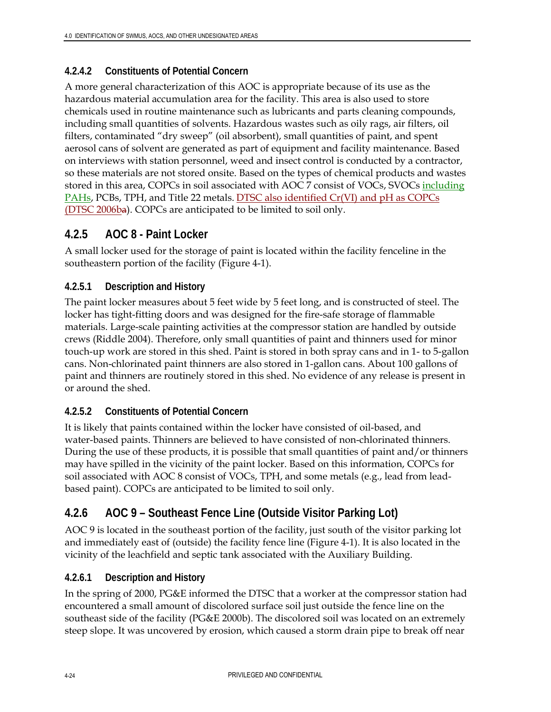### **4.2.4.2 Constituents of Potential Concern**

A more general characterization of this AOC is appropriate because of its use as the hazardous material accumulation area for the facility. This area is also used to store chemicals used in routine maintenance such as lubricants and parts cleaning compounds, including small quantities of solvents. Hazardous wastes such as oily rags, air filters, oil filters, contaminated "dry sweep" (oil absorbent), small quantities of paint, and spent aerosol cans of solvent are generated as part of equipment and facility maintenance. Based on interviews with station personnel, weed and insect control is conducted by a contractor, so these materials are not stored onsite. Based on the types of chemical products and wastes stored in this area, COPCs in soil associated with AOC 7 consist of VOCs, SVOCs including PAHs, PCBs, TPH, and Title 22 metals. DTSC also identified Cr(VI) and pH as COPCs (DTSC 2006ba). COPCs are anticipated to be limited to soil only.

### **4.2.5 AOC 8 - Paint Locker**

A small locker used for the storage of paint is located within the facility fenceline in the southeastern portion of the facility (Figure 4-1).

#### **4.2.5.1 Description and History**

The paint locker measures about 5 feet wide by 5 feet long, and is constructed of steel. The locker has tight-fitting doors and was designed for the fire-safe storage of flammable materials. Large-scale painting activities at the compressor station are handled by outside crews (Riddle 2004). Therefore, only small quantities of paint and thinners used for minor touch-up work are stored in this shed. Paint is stored in both spray cans and in 1- to 5-gallon cans. Non-chlorinated paint thinners are also stored in 1-gallon cans. About 100 gallons of paint and thinners are routinely stored in this shed. No evidence of any release is present in or around the shed.

#### **4.2.5.2 Constituents of Potential Concern**

It is likely that paints contained within the locker have consisted of oil-based, and water-based paints. Thinners are believed to have consisted of non-chlorinated thinners. During the use of these products, it is possible that small quantities of paint and/or thinners may have spilled in the vicinity of the paint locker. Based on this information, COPCs for soil associated with AOC 8 consist of VOCs, TPH, and some metals (e.g., lead from leadbased paint). COPCs are anticipated to be limited to soil only.

### **4.2.6 AOC 9 – Southeast Fence Line (Outside Visitor Parking Lot)**

AOC 9 is located in the southeast portion of the facility, just south of the visitor parking lot and immediately east of (outside) the facility fence line (Figure 4-1). It is also located in the vicinity of the leachfield and septic tank associated with the Auxiliary Building.

#### **4.2.6.1 Description and History**

In the spring of 2000, PG&E informed the DTSC that a worker at the compressor station had encountered a small amount of discolored surface soil just outside the fence line on the southeast side of the facility (PG&E 2000b). The discolored soil was located on an extremely steep slope. It was uncovered by erosion, which caused a storm drain pipe to break off near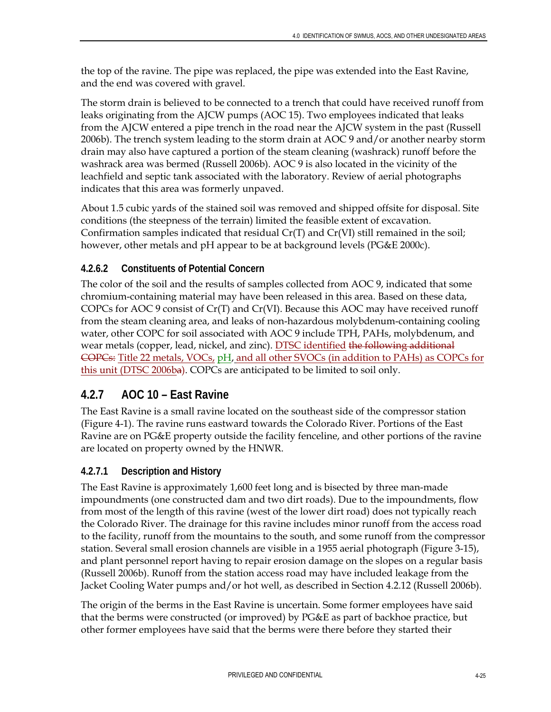the top of the ravine. The pipe was replaced, the pipe was extended into the East Ravine, and the end was covered with gravel.

The storm drain is believed to be connected to a trench that could have received runoff from leaks originating from the AJCW pumps (AOC 15). Two employees indicated that leaks from the AJCW entered a pipe trench in the road near the AJCW system in the past (Russell 2006b). The trench system leading to the storm drain at AOC 9 and/or another nearby storm drain may also have captured a portion of the steam cleaning (washrack) runoff before the washrack area was bermed (Russell 2006b). AOC 9 is also located in the vicinity of the leachfield and septic tank associated with the laboratory. Review of aerial photographs indicates that this area was formerly unpaved.

About 1.5 cubic yards of the stained soil was removed and shipped offsite for disposal. Site conditions (the steepness of the terrain) limited the feasible extent of excavation. Confirmation samples indicated that residual  $Cr(T)$  and  $Cr(VI)$  still remained in the soil; however, other metals and pH appear to be at background levels (PG&E 2000c).

### **4.2.6.2 Constituents of Potential Concern**

The color of the soil and the results of samples collected from AOC 9, indicated that some chromium-containing material may have been released in this area. Based on these data, COPCs for AOC 9 consist of  $Cr(T)$  and  $Cr(VI)$ . Because this AOC may have received runoff from the steam cleaning area, and leaks of non-hazardous molybdenum-containing cooling water, other COPC for soil associated with AOC 9 include TPH, PAHs, molybdenum, and wear metals (copper, lead, nickel, and zinc). DTSC identified the following additional COPCs: Title 22 metals, VOCs, pH, and all other SVOCs (in addition to PAHs) as COPCs for this unit (DTSC 2006ba). COPCs are anticipated to be limited to soil only.

### **4.2.7 AOC 10 – East Ravine**

The East Ravine is a small ravine located on the southeast side of the compressor station (Figure 4-1). The ravine runs eastward towards the Colorado River. Portions of the East Ravine are on PG&E property outside the facility fenceline, and other portions of the ravine are located on property owned by the HNWR.

### **4.2.7.1 Description and History**

The East Ravine is approximately 1,600 feet long and is bisected by three man-made impoundments (one constructed dam and two dirt roads). Due to the impoundments, flow from most of the length of this ravine (west of the lower dirt road) does not typically reach the Colorado River. The drainage for this ravine includes minor runoff from the access road to the facility, runoff from the mountains to the south, and some runoff from the compressor station. Several small erosion channels are visible in a 1955 aerial photograph (Figure 3-15), and plant personnel report having to repair erosion damage on the slopes on a regular basis (Russell 2006b). Runoff from the station access road may have included leakage from the Jacket Cooling Water pumps and/or hot well, as described in Section 4.2.12 (Russell 2006b).

The origin of the berms in the East Ravine is uncertain. Some former employees have said that the berms were constructed (or improved) by PG&E as part of backhoe practice, but other former employees have said that the berms were there before they started their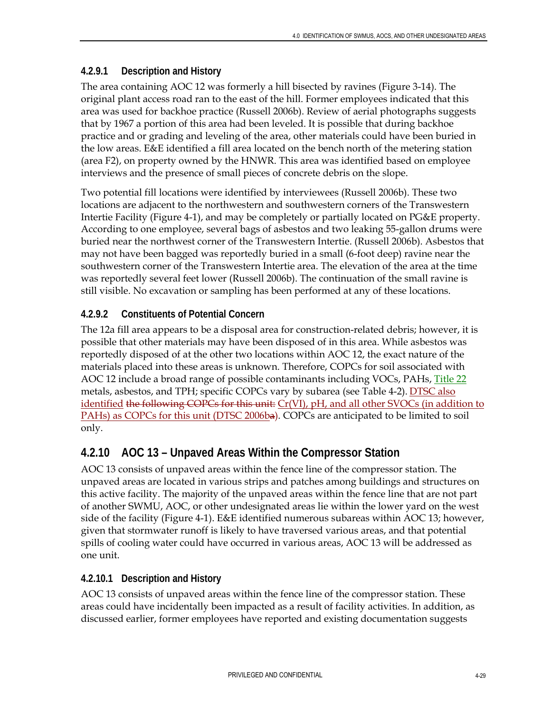### **4.2.9.1 Description and History**

The area containing AOC 12 was formerly a hill bisected by ravines (Figure 3-14). The original plant access road ran to the east of the hill. Former employees indicated that this area was used for backhoe practice (Russell 2006b). Review of aerial photographs suggests that by 1967 a portion of this area had been leveled. It is possible that during backhoe practice and or grading and leveling of the area, other materials could have been buried in the low areas. E&E identified a fill area located on the bench north of the metering station (area F2), on property owned by the HNWR. This area was identified based on employee interviews and the presence of small pieces of concrete debris on the slope.

Two potential fill locations were identified by interviewees (Russell 2006b). These two locations are adjacent to the northwestern and southwestern corners of the Transwestern Intertie Facility (Figure 4-1), and may be completely or partially located on PG&E property. According to one employee, several bags of asbestos and two leaking 55-gallon drums were buried near the northwest corner of the Transwestern Intertie. (Russell 2006b). Asbestos that may not have been bagged was reportedly buried in a small (6-foot deep) ravine near the southwestern corner of the Transwestern Intertie area. The elevation of the area at the time was reportedly several feet lower (Russell 2006b). The continuation of the small ravine is still visible. No excavation or sampling has been performed at any of these locations.

### **4.2.9.2 Constituents of Potential Concern**

The 12a fill area appears to be a disposal area for construction-related debris; however, it is possible that other materials may have been disposed of in this area. While asbestos was reportedly disposed of at the other two locations within AOC 12, the exact nature of the materials placed into these areas is unknown. Therefore, COPCs for soil associated with AOC 12 include a broad range of possible contaminants including VOCs, PAHs, Title 22 metals, asbestos, and TPH; specific COPCs vary by subarea (see Table 4-2). DTSC also identified the following COPCs for this unit: Cr(VI), pH, and all other SVOCs (in addition to PAHs) as COPCs for this unit (DTSC 2006ba). COPCs are anticipated to be limited to soil only.

## **4.2.10 AOC 13 – Unpaved Areas Within the Compressor Station**

AOC 13 consists of unpaved areas within the fence line of the compressor station. The unpaved areas are located in various strips and patches among buildings and structures on this active facility. The majority of the unpaved areas within the fence line that are not part of another SWMU, AOC, or other undesignated areas lie within the lower yard on the west side of the facility (Figure 4-1). E&E identified numerous subareas within AOC 13; however, given that stormwater runoff is likely to have traversed various areas, and that potential spills of cooling water could have occurred in various areas, AOC 13 will be addressed as one unit.

### **4.2.10.1 Description and History**

AOC 13 consists of unpaved areas within the fence line of the compressor station. These areas could have incidentally been impacted as a result of facility activities. In addition, as discussed earlier, former employees have reported and existing documentation suggests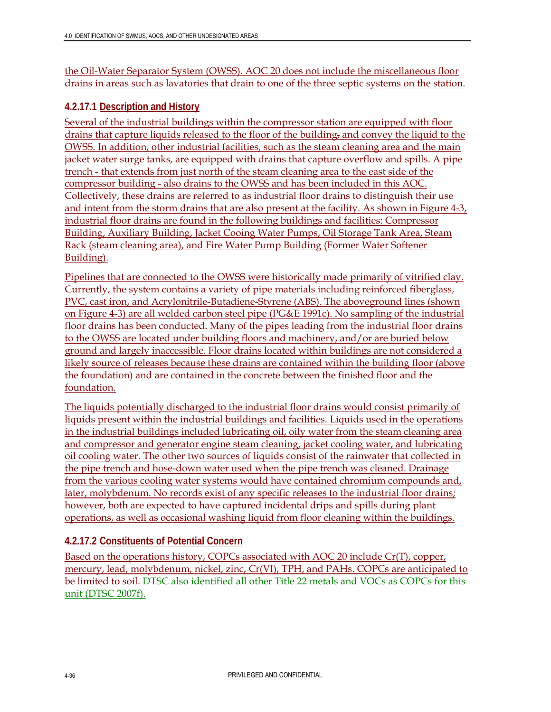the Oil-Water Separator System (OWSS). AOC 20 does not include the miscellaneous floor drains in areas such as lavatories that drain to one of the three septic systems on the station.

### **4.2.17.1 Description and History**

Several of the industrial buildings within the compressor station are equipped with floor drains that capture liquids released to the floor of the building, and convey the liquid to the OWSS. In addition, other industrial facilities, such as the steam cleaning area and the main jacket water surge tanks, are equipped with drains that capture overflow and spills. A pipe trench - that extends from just north of the steam cleaning area to the east side of the compressor building - also drains to the OWSS and has been included in this AOC. Collectively, these drains are referred to as industrial floor drains to distinguish their use and intent from the storm drains that are also present at the facility. As shown in Figure 4-3, industrial floor drains are found in the following buildings and facilities: Compressor Building, Auxiliary Building, Jacket Cooing Water Pumps, Oil Storage Tank Area, Steam Rack (steam cleaning area), and Fire Water Pump Building (Former Water Softener Building).

Pipelines that are connected to the OWSS were historically made primarily of vitrified clay. Currently, the system contains a variety of pipe materials including reinforced fiberglass, PVC, cast iron, and Acrylonitrile-Butadiene-Styrene (ABS). The aboveground lines (shown on Figure 4-3) are all welded carbon steel pipe (PG&E 1991c). No sampling of the industrial floor drains has been conducted. Many of the pipes leading from the industrial floor drains to the OWSS are located under building floors and machinery, and/or are buried below ground and largely inaccessible. Floor drains located within buildings are not considered a likely source of releases because these drains are contained within the building floor (above the foundation) and are contained in the concrete between the finished floor and the foundation.

The liquids potentially discharged to the industrial floor drains would consist primarily of liquids present within the industrial buildings and facilities. Liquids used in the operations in the industrial buildings included lubricating oil, oily water from the steam cleaning area and compressor and generator engine steam cleaning, jacket cooling water, and lubricating oil cooling water. The other two sources of liquids consist of the rainwater that collected in the pipe trench and hose-down water used when the pipe trench was cleaned. Drainage from the various cooling water systems would have contained chromium compounds and, later, molybdenum. No records exist of any specific releases to the industrial floor drains; however, both are expected to have captured incidental drips and spills during plant operations, as well as occasional washing liquid from floor cleaning within the buildings.

### **4.2.17.2 Constituents of Potential Concern**

Based on the operations history, COPCs associated with AOC 20 include Cr(T), copper, mercury, lead, molybdenum, nickel, zinc, Cr(VI), TPH, and PAHs. COPCs are anticipated to be limited to soil. DTSC also identified all other Title 22 metals and VOCs as COPCs for this unit (DTSC 2007f).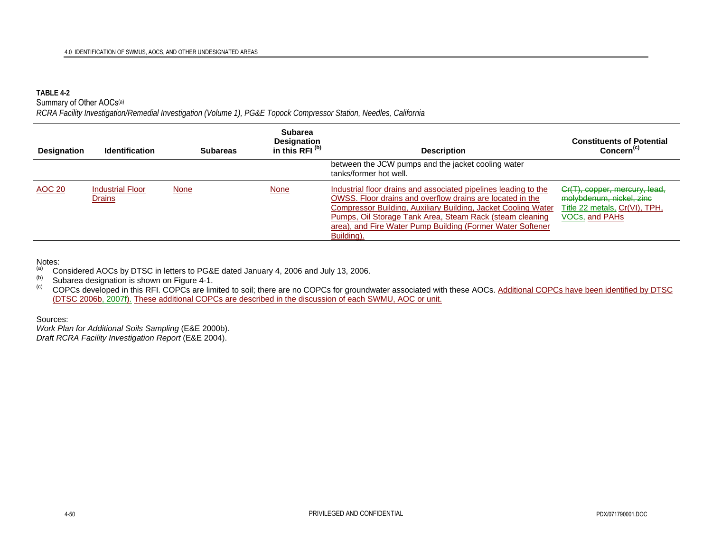#### **TABLE 4-2**

Summary of Other AOCs<sup>(a)</sup>

*RCRA Facility Investigation/Remedial Investigation (Volume 1), PG&E Topock Compressor Station, Needles, California* 

| <b>Designation</b> | <b>Identification</b>             |             | <b>Subareas</b> | <b>Subarea</b><br>Designation<br>in this RFI <sup>(b)</sup> | <b>Description</b>                                                                                                                                                                                                                                                                                                                    | <b>Constituents of Potential</b><br>Concern <sup>(c)</sup>                                                   |
|--------------------|-----------------------------------|-------------|-----------------|-------------------------------------------------------------|---------------------------------------------------------------------------------------------------------------------------------------------------------------------------------------------------------------------------------------------------------------------------------------------------------------------------------------|--------------------------------------------------------------------------------------------------------------|
|                    |                                   |             |                 |                                                             | between the JCW pumps and the jacket cooling water<br>tanks/former hot well.                                                                                                                                                                                                                                                          |                                                                                                              |
| <b>AOC 20</b>      | <b>Industrial Floor</b><br>Drains | <b>None</b> | <b>None</b>     |                                                             | Industrial floor drains and associated pipelines leading to the<br>OWSS. Floor drains and overflow drains are located in the<br>Compressor Building, Auxiliary Building, Jacket Cooling Water<br>Pumps, Oil Storage Tank Area, Steam Rack (steam cleaning<br>area), and Fire Water Pump Building (Former Water Softener<br>Building). | Cr(T), copper, mercury, lead,<br>molybdenum, nickel, zinc<br>Title 22 metals, Cr(VI), TPH,<br>VOCs, and PAHs |

#### Notes:

(a) Considered AOCs by DTSC in letters to PG&E dated January 4, 2006 and July 13, 2006.<br>(b) Subarea designation is shown on Figure 4-1.<br>(c) COPCs developed in this RFI. COPCs are limited to soil; there are no COPCs for gro (DTSC 2006b, 2007f). These additional COPCs are described in the discussion of each SWMU, AOC or unit.

Sources: *Work Plan for Additional Soils Sampling* (E&E 2000b).

*Draft RCRA Facility Investigation Report* (E&E 2004).